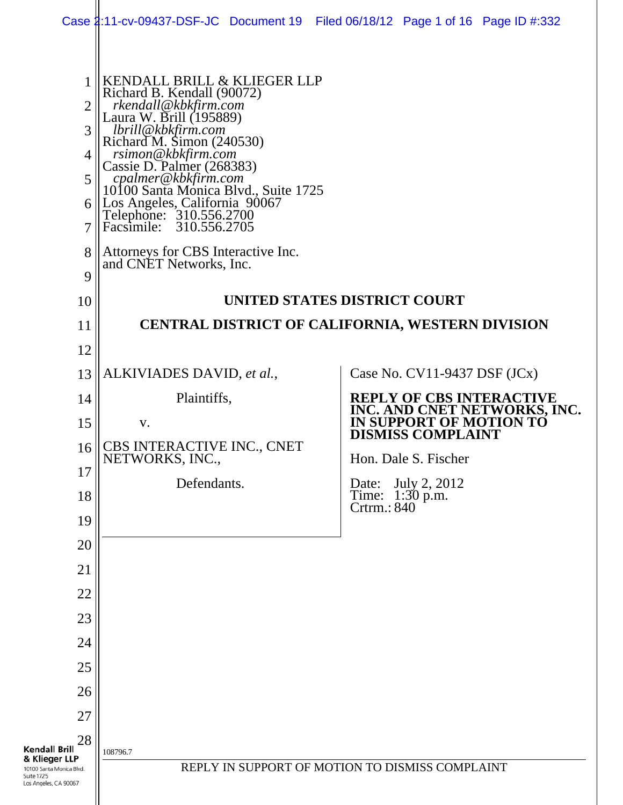|                                                                                                                       |                                                                                                                                                                                                                                                                                                                                                                          | Case 2:11-cv-09437-DSF-JC Document 19 Filed 06/18/12 Page 1 of 16 Page ID #:332     |
|-----------------------------------------------------------------------------------------------------------------------|--------------------------------------------------------------------------------------------------------------------------------------------------------------------------------------------------------------------------------------------------------------------------------------------------------------------------------------------------------------------------|-------------------------------------------------------------------------------------|
| 1<br>$\overline{2}$<br>3<br>4<br>5<br>6<br>7                                                                          | KENDALL BRILL & KLIEGER LLP<br>Richard B. Kendall (90072)<br>rkendall@kbkfirm.com<br>Laura W. Brill (195889)<br>lbrill@kbkfirm.com<br>Richard M. Simon (240530)<br>rsimon@kbkfirm.com<br>Cassie D. Palmer (268383)<br>cpalmer@kbkfirm.com<br>10100 Santa Monica Blvd., Suite 1725<br>Los Angeles, California 90067<br>Telephone: 310.556.2700<br>Facsimile: 310.556.2705 |                                                                                     |
| 8<br>9                                                                                                                | Attorneys for CBS Interactive Inc.<br>and CNET Networks, Inc.                                                                                                                                                                                                                                                                                                            |                                                                                     |
| 10                                                                                                                    |                                                                                                                                                                                                                                                                                                                                                                          | UNITED STATES DISTRICT COURT                                                        |
| 11                                                                                                                    |                                                                                                                                                                                                                                                                                                                                                                          | CENTRAL DISTRICT OF CALIFORNIA, WESTERN DIVISION                                    |
| 12                                                                                                                    |                                                                                                                                                                                                                                                                                                                                                                          |                                                                                     |
| 13                                                                                                                    | ALKIVIADES DAVID, et al.,                                                                                                                                                                                                                                                                                                                                                | Case No. $CV11-9437$ DSF $(JCx)$                                                    |
| 14                                                                                                                    | Plaintiffs,                                                                                                                                                                                                                                                                                                                                                              | <b>REPLY OF CBS INTERACTIVE</b>                                                     |
| 15                                                                                                                    | V.                                                                                                                                                                                                                                                                                                                                                                       | INC. AND CNET NETWORKS, INC.<br>IN SUPPORT OF MOTION TO<br><b>DISMISS COMPLAINT</b> |
| 16                                                                                                                    | CBS INTERACTIVE INC., CNET<br>NETWORKS, INC.,                                                                                                                                                                                                                                                                                                                            | Hon. Dale S. Fischer                                                                |
| 17                                                                                                                    | Defendants.                                                                                                                                                                                                                                                                                                                                                              | July 2, 2012<br>Date:                                                               |
| 18                                                                                                                    |                                                                                                                                                                                                                                                                                                                                                                          | Time: 1:30 p.m.<br>Crtrm.: 840                                                      |
| 19<br>20                                                                                                              |                                                                                                                                                                                                                                                                                                                                                                          |                                                                                     |
| 21                                                                                                                    |                                                                                                                                                                                                                                                                                                                                                                          |                                                                                     |
| 22                                                                                                                    |                                                                                                                                                                                                                                                                                                                                                                          |                                                                                     |
| 23                                                                                                                    |                                                                                                                                                                                                                                                                                                                                                                          |                                                                                     |
| 24                                                                                                                    |                                                                                                                                                                                                                                                                                                                                                                          |                                                                                     |
| 25                                                                                                                    |                                                                                                                                                                                                                                                                                                                                                                          |                                                                                     |
| 26                                                                                                                    |                                                                                                                                                                                                                                                                                                                                                                          |                                                                                     |
| 27                                                                                                                    |                                                                                                                                                                                                                                                                                                                                                                          |                                                                                     |
| 28<br><b>Kendall Brill</b><br>& Klieger LLP<br>10100 Santa Monica Blvd.<br><b>Suite 1725</b><br>Los Angeles, CA 90067 | 108796.7                                                                                                                                                                                                                                                                                                                                                                 | REPLY IN SUPPORT OF MOTION TO DISMISS COMPLAINT                                     |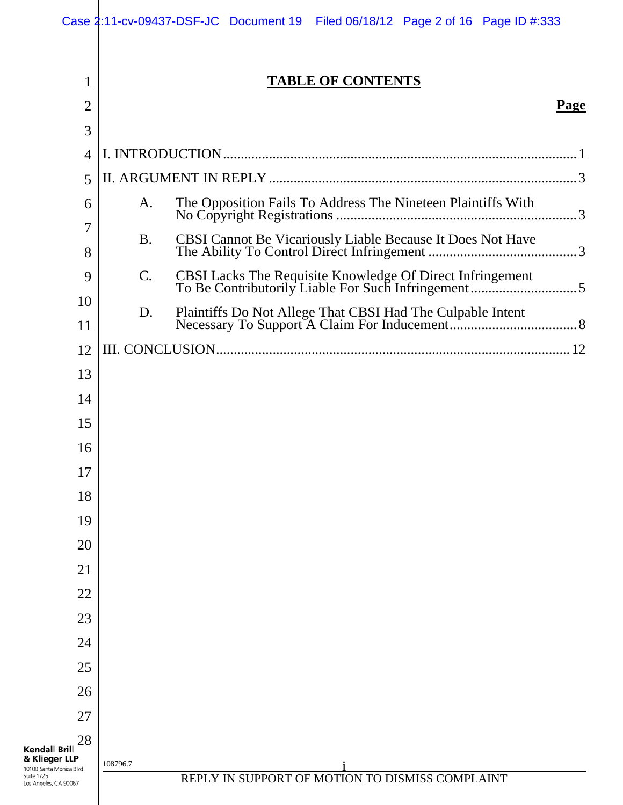|                                                                                                                | Case 2:11-cv-09437-DSF-JC Document 19 Filed 06/18/12 Page 2 of 16 Page ID #:333 |             |
|----------------------------------------------------------------------------------------------------------------|---------------------------------------------------------------------------------|-------------|
| 1                                                                                                              | <b>TABLE OF CONTENTS</b>                                                        |             |
| 2                                                                                                              |                                                                                 | <b>Page</b> |
| 3                                                                                                              |                                                                                 |             |
| 4                                                                                                              |                                                                                 |             |
| 5                                                                                                              |                                                                                 |             |
| 6                                                                                                              | A.                                                                              |             |
| 7<br>8                                                                                                         | <b>B.</b>                                                                       |             |
| 9                                                                                                              | C.                                                                              |             |
| 10<br>11                                                                                                       | D.                                                                              |             |
| 12                                                                                                             |                                                                                 |             |
| 13                                                                                                             |                                                                                 |             |
| 14                                                                                                             |                                                                                 |             |
| 15                                                                                                             |                                                                                 |             |
| 16                                                                                                             |                                                                                 |             |
| 17                                                                                                             |                                                                                 |             |
| 18                                                                                                             |                                                                                 |             |
| 19                                                                                                             |                                                                                 |             |
| 20                                                                                                             |                                                                                 |             |
| 21                                                                                                             |                                                                                 |             |
| 22                                                                                                             |                                                                                 |             |
| 23                                                                                                             |                                                                                 |             |
| 24                                                                                                             |                                                                                 |             |
| 25                                                                                                             |                                                                                 |             |
| 26                                                                                                             |                                                                                 |             |
| 27                                                                                                             |                                                                                 |             |
| 28<br><b>Kendall Brill</b><br>& Klieger LLP<br>10100 Santa Monica Blvd.<br>Suite 1725<br>Los Angeles, CA 90067 | 108796.7<br>REPLY IN SUPPORT OF MOTION TO DISMISS COMPLAINT                     |             |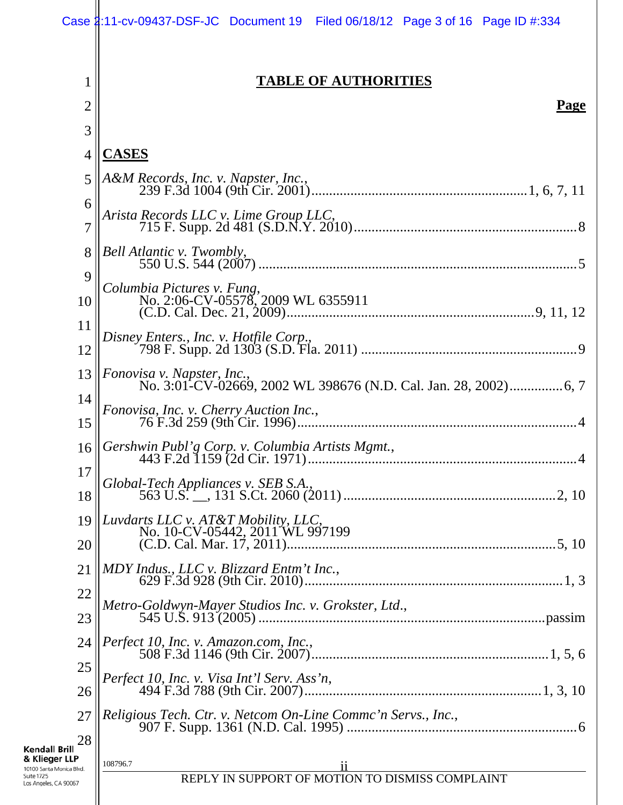|                                                                                                                | Case 2:11-cv-09437-DSF-JC Document 19 Filed 06/18/12 Page 3 of 16 Page ID #:334 |
|----------------------------------------------------------------------------------------------------------------|---------------------------------------------------------------------------------|
| 1                                                                                                              | <b>TABLE OF AUTHORITIES</b>                                                     |
| 2                                                                                                              | <b>Page</b>                                                                     |
| 3                                                                                                              |                                                                                 |
| 4                                                                                                              | <b>CASES</b>                                                                    |
| 5                                                                                                              | A&M Records, Inc. v. Napster, Inc.,                                             |
| 6<br>7                                                                                                         | Arista Records LLC v. Lime Group LLC,                                           |
| 8                                                                                                              | Bell Atlantic v. Twombly,                                                       |
| 9                                                                                                              |                                                                                 |
| 10                                                                                                             | Columbia Pictures v. Fung,<br>No. 2:06-CV-05578, 2009 WL 6355911                |
| 11                                                                                                             | Disney Enters., Inc. v. Hotfile Corp.,                                          |
| 12                                                                                                             |                                                                                 |
| 13                                                                                                             | Fonovisa v. Napster, Inc.,                                                      |
| 14                                                                                                             | Fonovisa, Inc. v. Cherry Auction Inc.,                                          |
| 15                                                                                                             |                                                                                 |
| 16                                                                                                             | Gershwin Publ'g Corp. v. Columbia Artists Mgmt.,                                |
| 17                                                                                                             | Global-Tech Appliances v. SEB S.A.,                                             |
| 18                                                                                                             |                                                                                 |
| 19<br>20                                                                                                       | Luvdarts LLC v. AT&T Mobility, LLC,<br>No. 10-CV-05442, 2011 WL 997199          |
| 21                                                                                                             | MDY Indus., LLC v. Blizzard Entm't Inc.,                                        |
| 22                                                                                                             | Metro-Goldwyn-Mayer Studios Inc. v. Grokster, Ltd.,                             |
| 23                                                                                                             |                                                                                 |
| 24                                                                                                             | Perfect 10, Inc. v. Amazon.com, Inc.,                                           |
| 25                                                                                                             |                                                                                 |
| 26                                                                                                             |                                                                                 |
| 27                                                                                                             | Religious Tech. Ctr. v. Netcom On-Line Commc'n Servs., Inc.,                    |
| 28<br><b>Kendall Brill</b><br>& Klieger LLP<br>10100 Santa Monica Blvd.<br>Suite 1725<br>Los Angeles, CA 90067 | 108796.7<br>11<br>REPLY IN SUPPORT OF MOTION TO DISMISS COMPLAINT               |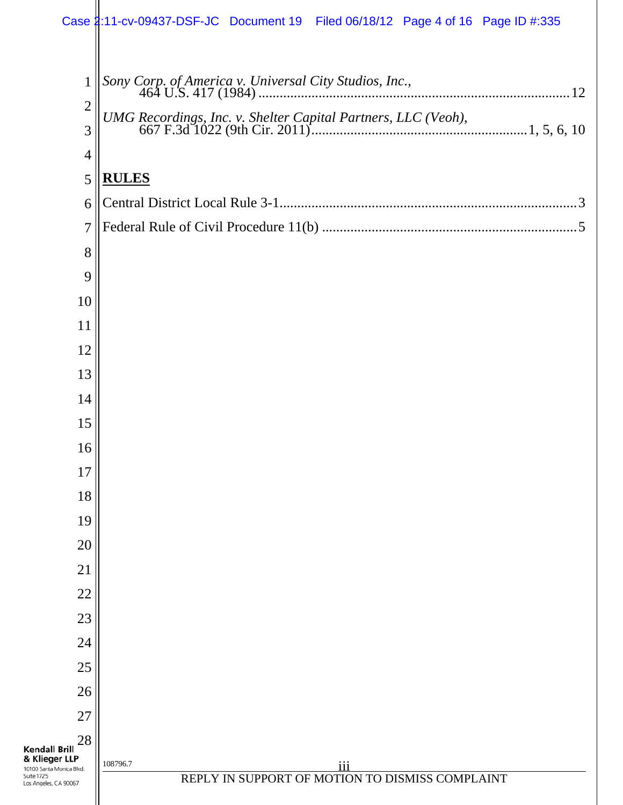|                                                                                                                | Case 2:11-cv-09437-DSF-JC Document 19 Filed 06/18/12 Page 4 of 16 Page ID #:335 |
|----------------------------------------------------------------------------------------------------------------|---------------------------------------------------------------------------------|
|                                                                                                                |                                                                                 |
| $\mathbf{1}$                                                                                                   |                                                                                 |
| $\overline{2}$                                                                                                 |                                                                                 |
| 3                                                                                                              |                                                                                 |
| $\overline{4}$                                                                                                 |                                                                                 |
| 5                                                                                                              | <b>RULES</b>                                                                    |
| 6                                                                                                              |                                                                                 |
| $\overline{7}$                                                                                                 |                                                                                 |
| 8                                                                                                              |                                                                                 |
| 9                                                                                                              |                                                                                 |
| 10                                                                                                             |                                                                                 |
| 11                                                                                                             |                                                                                 |
| 12                                                                                                             |                                                                                 |
| 13                                                                                                             |                                                                                 |
| 14                                                                                                             |                                                                                 |
| 15<br>16                                                                                                       |                                                                                 |
| 17                                                                                                             |                                                                                 |
| 18                                                                                                             |                                                                                 |
| 19                                                                                                             |                                                                                 |
| 20                                                                                                             |                                                                                 |
| 21                                                                                                             |                                                                                 |
| 22                                                                                                             |                                                                                 |
| 23                                                                                                             |                                                                                 |
| 24                                                                                                             |                                                                                 |
| 25                                                                                                             |                                                                                 |
| 26                                                                                                             |                                                                                 |
| 27                                                                                                             |                                                                                 |
| 28<br><b>Kendall Brill</b><br>& Klieger LLP<br>10100 Santa Monica Blvd.<br>Suite 1725<br>Los Angeles, CA 90067 | 108796.7<br>iii<br>REPLY IN SUPPORT OF MOTION TO DISMISS COMPLAINT              |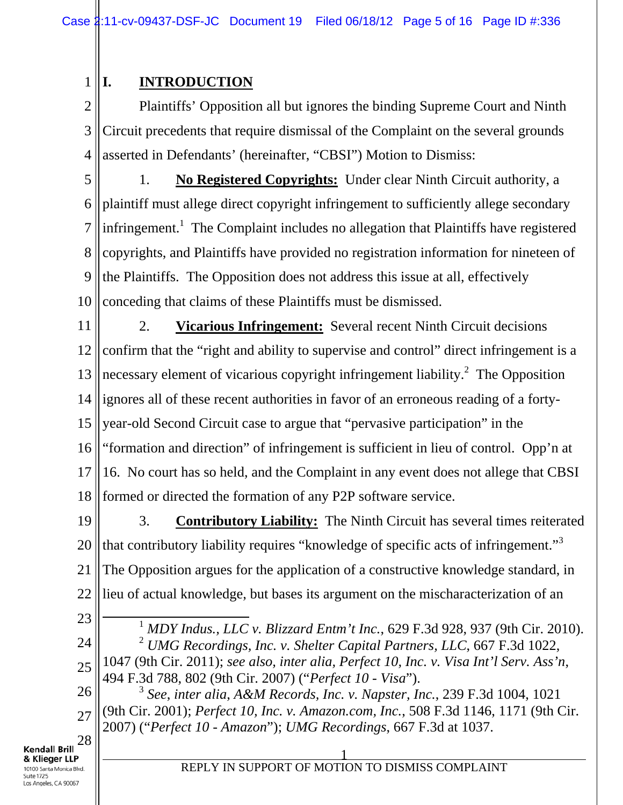1 **I. INTRODUCTION**

2 3 4 Plaintiffs' Opposition all but ignores the binding Supreme Court and Ninth Circuit precedents that require dismissal of the Complaint on the several grounds asserted in Defendants' (hereinafter, "CBSI") Motion to Dismiss:

5 6 7 8 9 10 1. **No Registered Copyrights:** Under clear Ninth Circuit authority, a plaintiff must allege direct copyright infringement to sufficiently allege secondary infringement.<sup>1</sup> The Complaint includes no allegation that Plaintiffs have registered copyrights, and Plaintiffs have provided no registration information for nineteen of the Plaintiffs. The Opposition does not address this issue at all, effectively conceding that claims of these Plaintiffs must be dismissed.

11 12 13 14 15 16 17 18 2. **Vicarious Infringement:** Several recent Ninth Circuit decisions confirm that the "right and ability to supervise and control" direct infringement is a necessary element of vicarious copyright infringement liability. $^2$  The Opposition ignores all of these recent authorities in favor of an erroneous reading of a fortyyear-old Second Circuit case to argue that "pervasive participation" in the "formation and direction" of infringement is sufficient in lieu of control. Opp'n at 16. No court has so held, and the Complaint in any event does not allege that CBSI formed or directed the formation of any P2P software service.

19 20 21 22 3. **Contributory Liability:** The Ninth Circuit has several times reiterated that contributory liability requires "knowledge of specific acts of infringement."<sup>3</sup> The Opposition argues for the application of a constructive knowledge standard, in lieu of actual knowledge, but bases its argument on the mischaracterization of an

23

24

25

 1 *MDY Indus., LLC v. Blizzard Entm't Inc.*, 629 F.3d 928, 937 (9th Cir. 2010). <sup>2</sup> *UMG Recordings, Inc. v. Shelter Capital Partners, LLC*, 667 F.3d 1022, 1047 (9th Cir. 2011); *see also, inter alia, Perfect 10, Inc. v. Visa Int'l Serv. Ass'n*, 494 F.3d 788, 802 (9th Cir. 2007) ("*Perfect 10 - Visa*").

26 27 <sup>3</sup> *See*, *inter alia*, *A&M Records, Inc. v. Napster, Inc.*, 239 F.3d 1004, 1021 (9th Cir. 2001); *Perfect 10, Inc. v. Amazon.com, Inc.*, 508 F.3d 1146, 1171 (9th Cir. 2007) ("*Perfect 10 - Amazon*"); *UMG Recordings*, 667 F.3d at 1037.

28 **Kendall Brill** & Klieger LLP 10100 Santa Monica Blvd. Suite 1725 Los Angeles, CA 90067

#### 1 REPLY IN SUPPORT OF MOTION TO DISMISS COMPLAINT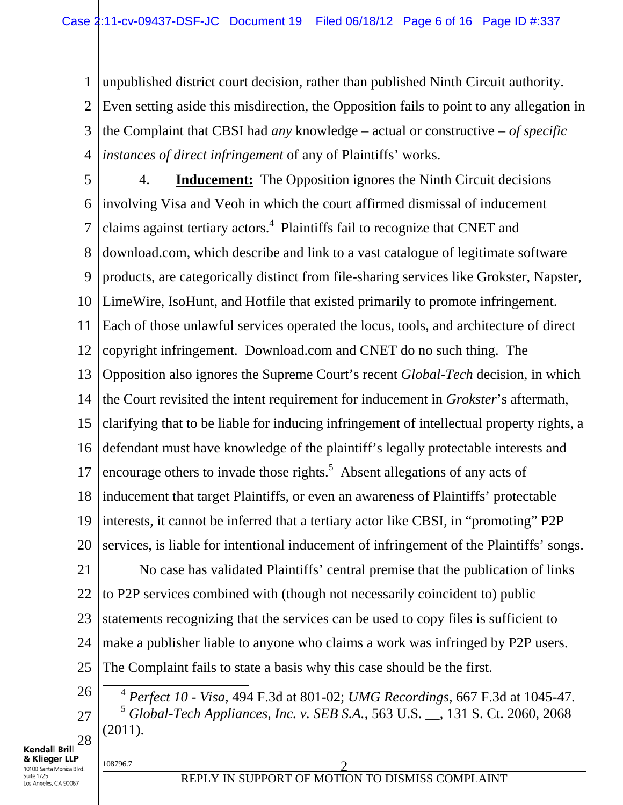1 2 3 4 unpublished district court decision, rather than published Ninth Circuit authority. Even setting aside this misdirection, the Opposition fails to point to any allegation in the Complaint that CBSI had *any* knowledge – actual or constructive – *of specific instances of direct infringement* of any of Plaintiffs' works.

5 6 7 8 9 10 11 12 13 14 15 16 17 18 19 20 4. **Inducement:** The Opposition ignores the Ninth Circuit decisions involving Visa and Veoh in which the court affirmed dismissal of inducement claims against tertiary actors.<sup>4</sup> Plaintiffs fail to recognize that CNET and download.com, which describe and link to a vast catalogue of legitimate software products, are categorically distinct from file-sharing services like Grokster, Napster, LimeWire, IsoHunt, and Hotfile that existed primarily to promote infringement. Each of those unlawful services operated the locus, tools, and architecture of direct copyright infringement. Download.com and CNET do no such thing. The Opposition also ignores the Supreme Court's recent *Global-Tech* decision, in which the Court revisited the intent requirement for inducement in *Grokster*'s aftermath, clarifying that to be liable for inducing infringement of intellectual property rights, a defendant must have knowledge of the plaintiff's legally protectable interests and encourage others to invade those rights. $5$  Absent allegations of any acts of inducement that target Plaintiffs, or even an awareness of Plaintiffs' protectable interests, it cannot be inferred that a tertiary actor like CBSI, in "promoting" P2P services, is liable for intentional inducement of infringement of the Plaintiffs' songs.

21 22 23 24 25 No case has validated Plaintiffs' central premise that the publication of links to P2P services combined with (though not necessarily coincident to) public statements recognizing that the services can be used to copy files is sufficient to make a publisher liable to anyone who claims a work was infringed by P2P users. The Complaint fails to state a basis why this case should be the first.

26 27 28

Kendall Brill & Klieger LLP 10100 Santa Monica Blvd. Suite 1725 os Angeles, CA 90067

 4 *Perfect 10 - Visa*, 494 F.3d at 801-02; *UMG Recordings*, 667 F.3d at 1045-47. <sup>5</sup> *Global-Tech Appliances, Inc. v. SEB S.A.*, 563 U.S. \_\_, 131 S. Ct. 2060, 2068 (2011).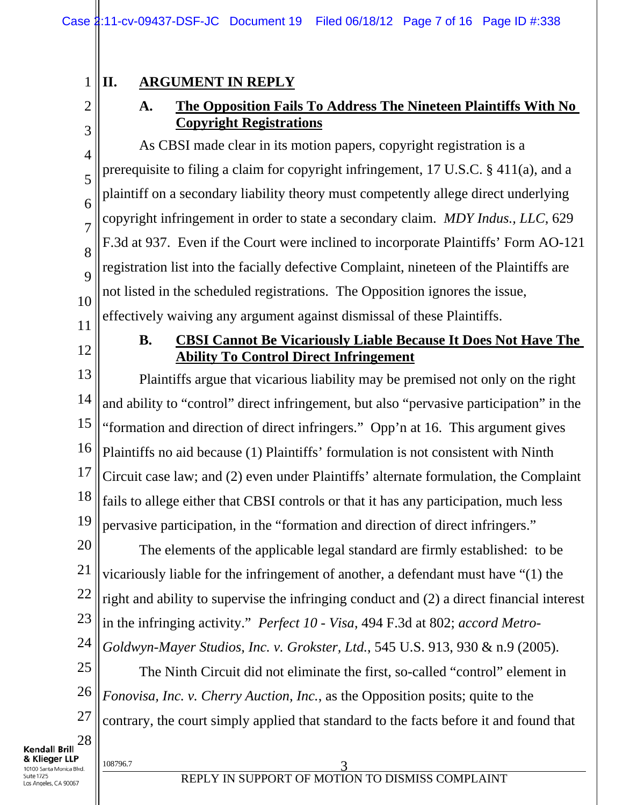# **II. ARGUMENT IN REPLY**

# **A. The Opposition Fails To Address The Nineteen Plaintiffs With No Copyright Registrations**

As CBSI made clear in its motion papers, copyright registration is a prerequisite to filing a claim for copyright infringement, 17 U.S.C. § 411(a), and a plaintiff on a secondary liability theory must competently allege direct underlying copyright infringement in order to state a secondary claim. *MDY Indus., LLC*, 629 F.3d at 937. Even if the Court were inclined to incorporate Plaintiffs' Form AO-121 registration list into the facially defective Complaint, nineteen of the Plaintiffs are not listed in the scheduled registrations. The Opposition ignores the issue, effectively waiving any argument against dismissal of these Plaintiffs.

11

10

1

2

3

4

5

6

7

8

9

12

# **B. CBSI Cannot Be Vicariously Liable Because It Does Not Have The Ability To Control Direct Infringement**

13 14 15 16 17 18 19 Plaintiffs argue that vicarious liability may be premised not only on the right and ability to "control" direct infringement, but also "pervasive participation" in the "formation and direction of direct infringers." Opp'n at 16. This argument gives Plaintiffs no aid because (1) Plaintiffs' formulation is not consistent with Ninth Circuit case law; and (2) even under Plaintiffs' alternate formulation, the Complaint fails to allege either that CBSI controls or that it has any participation, much less pervasive participation, in the "formation and direction of direct infringers."

20 21 22 23 24 The elements of the applicable legal standard are firmly established: to be vicariously liable for the infringement of another, a defendant must have "(1) the right and ability to supervise the infringing conduct and (2) a direct financial interest in the infringing activity." *Perfect 10 - Visa*, 494 F.3d at 802; *accord Metro-Goldwyn-Mayer Studios, Inc. v. Grokster, Ltd.*, 545 U.S. 913, 930 & n.9 (2005).

25 26 27 The Ninth Circuit did not eliminate the first, so-called "control" element in *Fonovisa, Inc. v. Cherry Auction, Inc.*, as the Opposition posits; quite to the contrary, the court simply applied that standard to the facts before it and found that

28 **Kendall Brill** & Klieger LLP 10100 Santa Monica Blvd. Suite 1725 os Angeles, CA 90067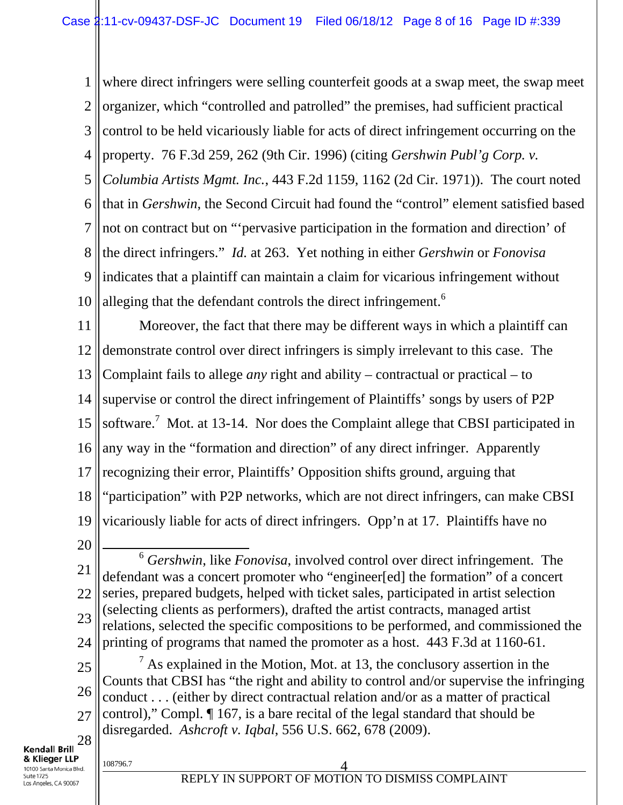1 2 3 4 5 6 7 8 9 10 where direct infringers were selling counterfeit goods at a swap meet, the swap meet organizer, which "controlled and patrolled" the premises, had sufficient practical control to be held vicariously liable for acts of direct infringement occurring on the property. 76 F.3d 259, 262 (9th Cir. 1996) (citing *Gershwin Publ'g Corp. v. Columbia Artists Mgmt. Inc.*, 443 F.2d 1159, 1162 (2d Cir. 1971)). The court noted that in *Gershwin*, the Second Circuit had found the "control" element satisfied based not on contract but on "'pervasive participation in the formation and direction' of the direct infringers." *Id.* at 263. Yet nothing in either *Gershwin* or *Fonovisa*  indicates that a plaintiff can maintain a claim for vicarious infringement without alleging that the defendant controls the direct infringement.<sup>6</sup>

11 12 13 14 15 16 17 18 19 Moreover, the fact that there may be different ways in which a plaintiff can demonstrate control over direct infringers is simply irrelevant to this case. The Complaint fails to allege *any* right and ability – contractual or practical – to supervise or control the direct infringement of Plaintiffs' songs by users of P2P software.<sup>7</sup> Mot. at 13-14. Nor does the Complaint allege that CBSI participated in any way in the "formation and direction" of any direct infringer. Apparently recognizing their error, Plaintiffs' Opposition shifts ground, arguing that "participation" with P2P networks, which are not direct infringers, can make CBSI vicariously liable for acts of direct infringers. Opp'n at 17. Plaintiffs have no

20

21 22 23 24 6 *Gershwin*, like *Fonovisa*, involved control over direct infringement. The defendant was a concert promoter who "engineer[ed] the formation" of a concert series, prepared budgets, helped with ticket sales, participated in artist selection (selecting clients as performers), drafted the artist contracts, managed artist relations, selected the specific compositions to be performed, and commissioned the printing of programs that named the promoter as a host. 443 F.3d at 1160-61.

25 26 27 28  $<sup>7</sup>$  As explained in the Motion, Mot. at 13, the conclusory assertion in the</sup> Counts that CBSI has "the right and ability to control and/or supervise the infringing conduct . . . (either by direct contractual relation and/or as a matter of practical control)," Compl. ¶ 167, is a bare recital of the legal standard that should be disregarded. *Ashcroft v. Iqbal*, 556 U.S. 662, 678 (2009).

**Kendall Brill**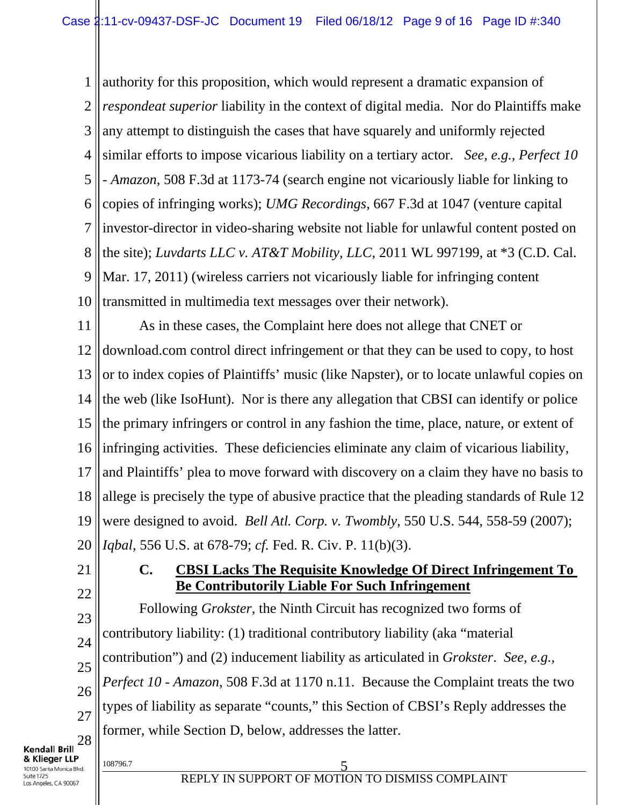1 2 3 4 5 6 7 8 9 10 authority for this proposition, which would represent a dramatic expansion of *respondeat superior* liability in the context of digital media. Nor do Plaintiffs make any attempt to distinguish the cases that have squarely and uniformly rejected similar efforts to impose vicarious liability on a tertiary actor. *See, e.g., Perfect 10 - Amazon*, 508 F.3d at 1173-74 (search engine not vicariously liable for linking to copies of infringing works); *UMG Recordings*, 667 F.3d at 1047 (venture capital investor-director in video-sharing website not liable for unlawful content posted on the site); *Luvdarts LLC v. AT&T Mobility, LLC*, 2011 WL 997199, at \*3 (C.D. Cal. Mar. 17, 2011) (wireless carriers not vicariously liable for infringing content transmitted in multimedia text messages over their network).

11 12 13 14 15 16 17 18 19 20 As in these cases, the Complaint here does not allege that CNET or download.com control direct infringement or that they can be used to copy, to host or to index copies of Plaintiffs' music (like Napster), or to locate unlawful copies on the web (like IsoHunt). Nor is there any allegation that CBSI can identify or police the primary infringers or control in any fashion the time, place, nature, or extent of infringing activities. These deficiencies eliminate any claim of vicarious liability, and Plaintiffs' plea to move forward with discovery on a claim they have no basis to allege is precisely the type of abusive practice that the pleading standards of Rule 12 were designed to avoid. *Bell Atl. Corp. v. Twombly*, 550 U.S. 544, 558-59 (2007); *Iqbal*, 556 U.S. at 678-79; *cf.* Fed. R. Civ. P. 11(b)(3).

21

27

## **C. CBSI Lacks The Requisite Knowledge Of Direct Infringement To Be Contributorily Liable For Such Infringement**

22 23 24 25 26 28 Following *Grokster*, the Ninth Circuit has recognized two forms of contributory liability: (1) traditional contributory liability (aka "material contribution") and (2) inducement liability as articulated in *Grokster*. *See, e.g.*, *Perfect 10 - Amazon*, 508 F.3d at 1170 n.11. Because the Complaint treats the two types of liability as separate "counts," this Section of CBSI's Reply addresses the former, while Section D, below, addresses the latter.

Kendall Brill & Klieger LLP 10100 Santa Monica Blvd. Suite 1725 os Angeles, CA 90067

### 108796.7 5 REPLY IN SUPPORT OF MOTION TO DISMISS COMPLAINT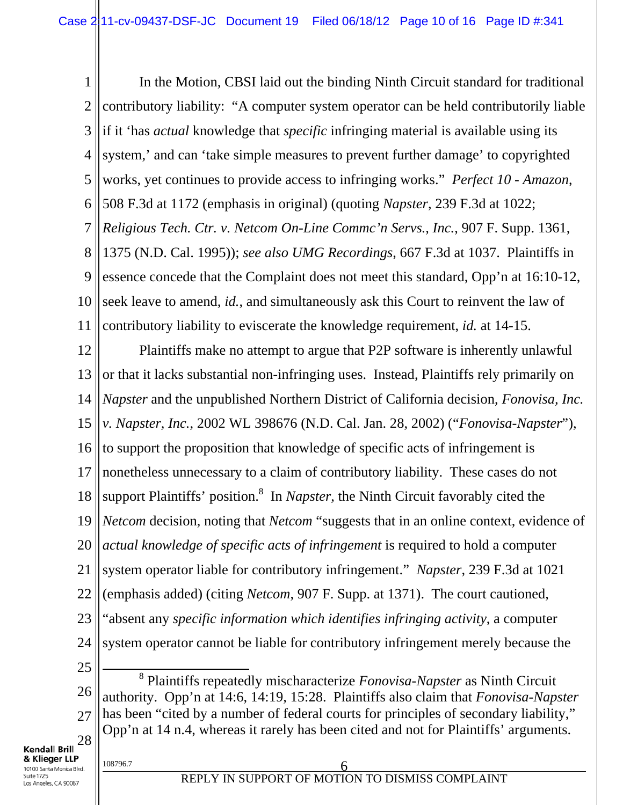1 2 3 4 5 6 7 8 9 10 11 In the Motion, CBSI laid out the binding Ninth Circuit standard for traditional contributory liability: "A computer system operator can be held contributorily liable if it 'has *actual* knowledge that *specific* infringing material is available using its system,' and can 'take simple measures to prevent further damage' to copyrighted works, yet continues to provide access to infringing works." *Perfect 10 - Amazon*, 508 F.3d at 1172 (emphasis in original) (quoting *Napster*, 239 F.3d at 1022; *Religious Tech. Ctr. v. Netcom On-Line Commc'n Servs., Inc.*, 907 F. Supp. 1361, 1375 (N.D. Cal. 1995)); *see also UMG Recordings*, 667 F.3d at 1037. Plaintiffs in essence concede that the Complaint does not meet this standard, Opp'n at 16:10-12, seek leave to amend, *id.*, and simultaneously ask this Court to reinvent the law of contributory liability to eviscerate the knowledge requirement, *id.* at 14-15.

12 13 14 15 16 17 18 19 20 21 22 23 24 25 Plaintiffs make no attempt to argue that P2P software is inherently unlawful or that it lacks substantial non-infringing uses. Instead, Plaintiffs rely primarily on *Napster* and the unpublished Northern District of California decision, *Fonovisa, Inc. v. Napster, Inc.*, 2002 WL 398676 (N.D. Cal. Jan. 28, 2002) ("*Fonovisa-Napster*"), to support the proposition that knowledge of specific acts of infringement is nonetheless unnecessary to a claim of contributory liability. These cases do not support Plaintiffs' position.<sup>8</sup> In *Napster*, the Ninth Circuit favorably cited the *Netcom* decision, noting that *Netcom* "suggests that in an online context, evidence of *actual knowledge of specific acts of infringement* is required to hold a computer system operator liable for contributory infringement." *Napster*, 239 F.3d at 1021 (emphasis added) (citing *Netcom*, 907 F. Supp. at 1371). The court cautioned, "absent any *specific information which identifies infringing activity*, a computer system operator cannot be liable for contributory infringement merely because the 8

26 27 28 Plaintiffs repeatedly mischaracterize *Fonovisa-Napster* as Ninth Circuit authority. Opp'n at 14:6, 14:19, 15:28. Plaintiffs also claim that *Fonovisa-Napster*  has been "cited by a number of federal courts for principles of secondary liability," Opp'n at 14 n.4, whereas it rarely has been cited and not for Plaintiffs' arguments.

**Kendall Brill**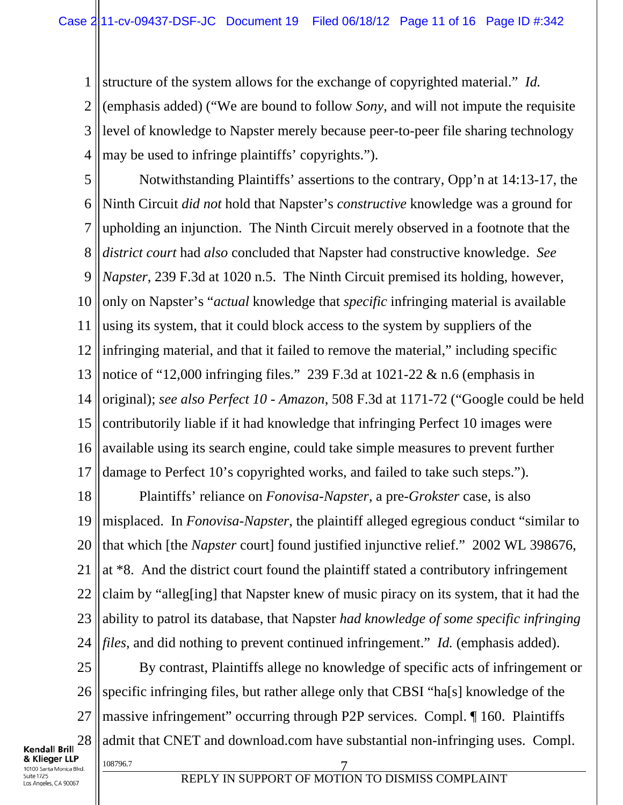1 structure of the system allows for the exchange of copyrighted material." *Id.*

2 3 4 (emphasis added) ("We are bound to follow *Sony*, and will not impute the requisite level of knowledge to Napster merely because peer-to-peer file sharing technology may be used to infringe plaintiffs' copyrights.").

5 6 7 8 9 10 11 12 13 14 15 16 17 Notwithstanding Plaintiffs' assertions to the contrary, Opp'n at 14:13-17, the Ninth Circuit *did not* hold that Napster's *constructive* knowledge was a ground for upholding an injunction. The Ninth Circuit merely observed in a footnote that the *district court* had *also* concluded that Napster had constructive knowledge. *See Napster*, 239 F.3d at 1020 n.5. The Ninth Circuit premised its holding, however, only on Napster's "*actual* knowledge that *specific* infringing material is available using its system, that it could block access to the system by suppliers of the infringing material, and that it failed to remove the material," including specific notice of "12,000 infringing files." 239 F.3d at 1021-22 & n.6 (emphasis in original); *see also Perfect 10 - Amazon*, 508 F.3d at 1171-72 ("Google could be held contributorily liable if it had knowledge that infringing Perfect 10 images were available using its search engine, could take simple measures to prevent further damage to Perfect 10's copyrighted works, and failed to take such steps.").

18 19 20 21 22 23 24 Plaintiffs' reliance on *Fonovisa-Napster*, a pre-*Grokster* case, is also misplaced. In *Fonovisa-Napster*, the plaintiff alleged egregious conduct "similar to that which [the *Napster* court] found justified injunctive relief." 2002 WL 398676, at \*8. And the district court found the plaintiff stated a contributory infringement claim by "alleg[ing] that Napster knew of music piracy on its system, that it had the ability to patrol its database, that Napster *had knowledge of some specific infringing files*, and did nothing to prevent continued infringement." *Id.* (emphasis added).

25 26 27 28 108796.7 7 By contrast, Plaintiffs allege no knowledge of specific acts of infringement or specific infringing files, but rather allege only that CBSI "ha[s] knowledge of the massive infringement" occurring through P2P services. Compl. ¶ 160. Plaintiffs admit that CNET and download.com have substantial non-infringing uses. Compl.

**Kendall Brill** & Klieger LLP 10100 Santa Monica Blvd. Suite 1725 Los Angeles, CA 90067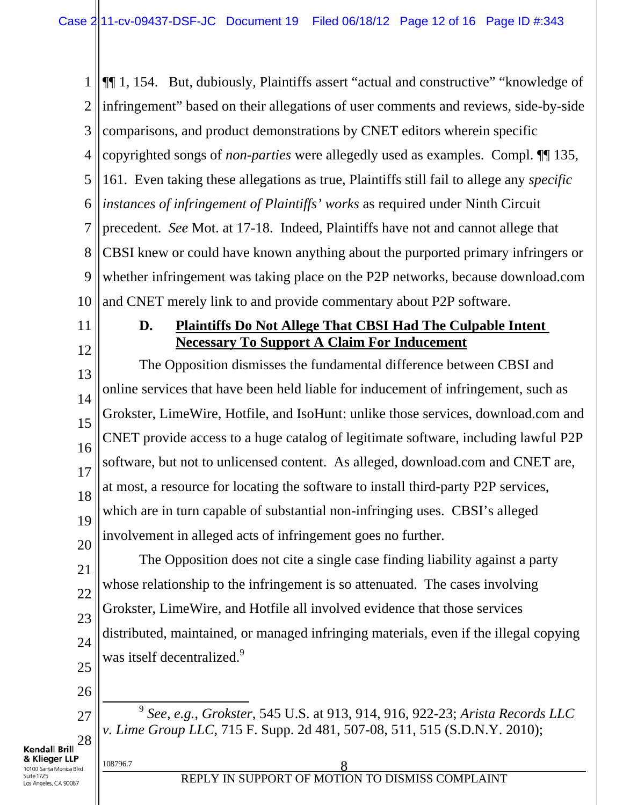1 2 3 4 5 6 7 8 9 10 ¶¶ 1, 154. But, dubiously, Plaintiffs assert "actual and constructive" "knowledge of infringement" based on their allegations of user comments and reviews, side-by-side comparisons, and product demonstrations by CNET editors wherein specific copyrighted songs of *non-parties* were allegedly used as examples. Compl. ¶¶ 135, 161. Even taking these allegations as true, Plaintiffs still fail to allege any *specific instances of infringement of Plaintiffs' works* as required under Ninth Circuit precedent. *See* Mot. at 17-18. Indeed, Plaintiffs have not and cannot allege that CBSI knew or could have known anything about the purported primary infringers or whether infringement was taking place on the P2P networks, because download.com and CNET merely link to and provide commentary about P2P software.

11

### **D. Plaintiffs Do Not Allege That CBSI Had The Culpable Intent Necessary To Support A Claim For Inducement**

12 13 14 15 16 17 18 19 20 The Opposition dismisses the fundamental difference between CBSI and online services that have been held liable for inducement of infringement, such as Grokster, LimeWire, Hotfile, and IsoHunt: unlike those services, download.com and CNET provide access to a huge catalog of legitimate software, including lawful P2P software, but not to unlicensed content. As alleged, download.com and CNET are, at most, a resource for locating the software to install third-party P2P services, which are in turn capable of substantial non-infringing uses. CBSI's alleged involvement in alleged acts of infringement goes no further.

21 22 23 24 25 The Opposition does not cite a single case finding liability against a party whose relationship to the infringement is so attenuated. The cases involving Grokster, LimeWire, and Hotfile all involved evidence that those services distributed, maintained, or managed infringing materials, even if the illegal copying was itself decentralized.<sup>9</sup>

26

27

28

 9 *See, e.g.*, *Grokster*, 545 U.S. at 913, 914, 916, 922-23; *Arista Records LLC v. Lime Group LLC*, 715 F. Supp. 2d 481, 507-08, 511, 515 (S.D.N.Y. 2010);

**Kendall Brill** & Klieger LLP 10100 Santa Monica Blvd. Suite 1725 os Angeles, CA 90067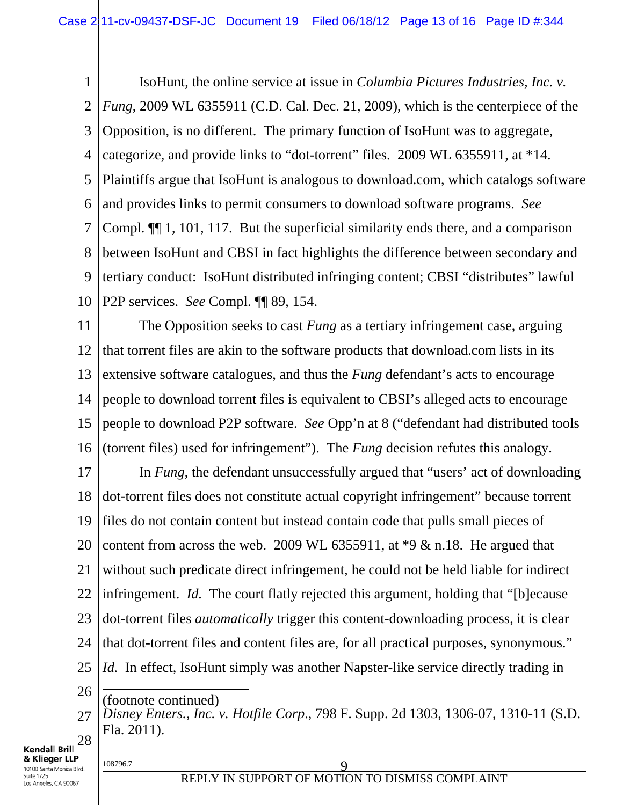1 2 3 4 5 6 7 8 9 10 IsoHunt, the online service at issue in *Columbia Pictures Industries, Inc. v. Fung*, 2009 WL 6355911 (C.D. Cal. Dec. 21, 2009), which is the centerpiece of the Opposition, is no different. The primary function of IsoHunt was to aggregate, categorize, and provide links to "dot-torrent" files. 2009 WL 6355911, at \*14. Plaintiffs argue that IsoHunt is analogous to download.com, which catalogs software and provides links to permit consumers to download software programs. *See*  Compl. ¶¶ 1, 101, 117. But the superficial similarity ends there, and a comparison between IsoHunt and CBSI in fact highlights the difference between secondary and tertiary conduct: IsoHunt distributed infringing content; CBSI "distributes" lawful P2P services. *See* Compl. ¶¶ 89, 154.

11 12 13 14 15 16 The Opposition seeks to cast *Fung* as a tertiary infringement case, arguing that torrent files are akin to the software products that download.com lists in its extensive software catalogues, and thus the *Fung* defendant's acts to encourage people to download torrent files is equivalent to CBSI's alleged acts to encourage people to download P2P software. *See* Opp'n at 8 ("defendant had distributed tools (torrent files) used for infringement"). The *Fung* decision refutes this analogy.

17 18 19 20 21 22 23 24 25 In *Fung*, the defendant unsuccessfully argued that "users' act of downloading dot-torrent files does not constitute actual copyright infringement" because torrent files do not contain content but instead contain code that pulls small pieces of content from across the web. 2009 WL 6355911, at \*9 & n.18. He argued that without such predicate direct infringement, he could not be held liable for indirect infringement. *Id.* The court flatly rejected this argument, holding that "[b]ecause dot-torrent files *automatically* trigger this content-downloading process, it is clear that dot-torrent files and content files are, for all practical purposes, synonymous." *Id.* In effect, IsoHunt simply was another Napster-like service directly trading in  $\overline{a}$ 

26

**Kendall Brill** & Klieger LLP

Suite 1725 Los Angeles, CA 90067

27 28 (footnote continued) *Disney Enters., Inc. v. Hotfile Corp*., 798 F. Supp. 2d 1303, 1306-07, 1310-11 (S.D. Fla. 2011).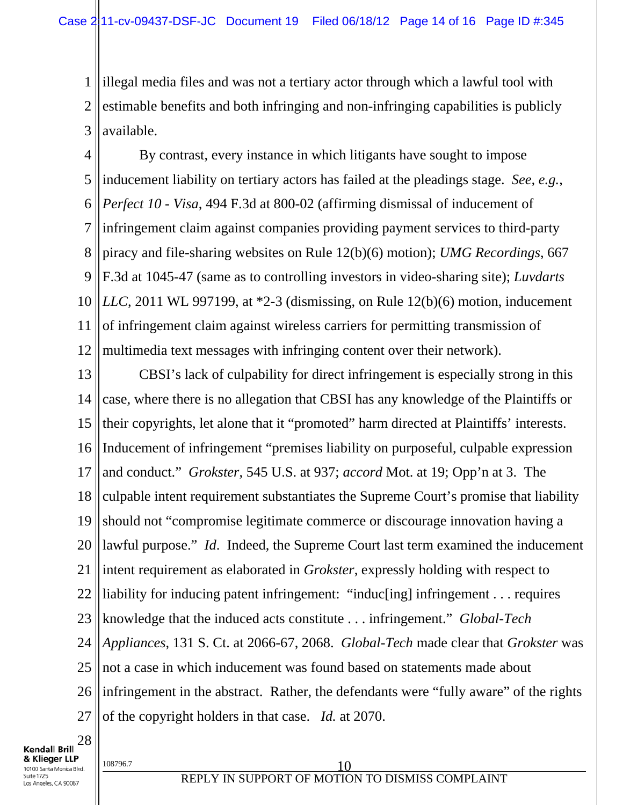1 2 3 illegal media files and was not a tertiary actor through which a lawful tool with estimable benefits and both infringing and non-infringing capabilities is publicly available.

4 5 6 7 8 9 10 11 12 By contrast, every instance in which litigants have sought to impose inducement liability on tertiary actors has failed at the pleadings stage. *See, e.g.*, *Perfect 10 - Visa*, 494 F.3d at 800-02 (affirming dismissal of inducement of infringement claim against companies providing payment services to third-party piracy and file-sharing websites on Rule 12(b)(6) motion); *UMG Recordings*, 667 F.3d at 1045-47 (same as to controlling investors in video-sharing site); *Luvdarts LLC*, 2011 WL 997199, at \*2-3 (dismissing, on Rule 12(b)(6) motion, inducement of infringement claim against wireless carriers for permitting transmission of multimedia text messages with infringing content over their network).

13 14 15 16 17 18 19 20 21 22 23 24 25 26 27 CBSI's lack of culpability for direct infringement is especially strong in this case, where there is no allegation that CBSI has any knowledge of the Plaintiffs or their copyrights, let alone that it "promoted" harm directed at Plaintiffs' interests. Inducement of infringement "premises liability on purposeful, culpable expression and conduct." *Grokster*, 545 U.S. at 937; *accord* Mot. at 19; Opp'n at 3. The culpable intent requirement substantiates the Supreme Court's promise that liability should not "compromise legitimate commerce or discourage innovation having a lawful purpose." *Id*. Indeed, the Supreme Court last term examined the inducement intent requirement as elaborated in *Grokster*, expressly holding with respect to liability for inducing patent infringement: "induc[ing] infringement . . . requires knowledge that the induced acts constitute . . . infringement." *Global-Tech Appliances*, 131 S. Ct. at 2066-67, 2068. *Global-Tech* made clear that *Grokster* was not a case in which inducement was found based on statements made about infringement in the abstract. Rather, the defendants were "fully aware" of the rights of the copyright holders in that case. *Id.* at 2070.

28 **Kendall Brill** & Klieger LLP 10100 Santa Monica Blvd. Suite 1725 Los Angeles, CA 90067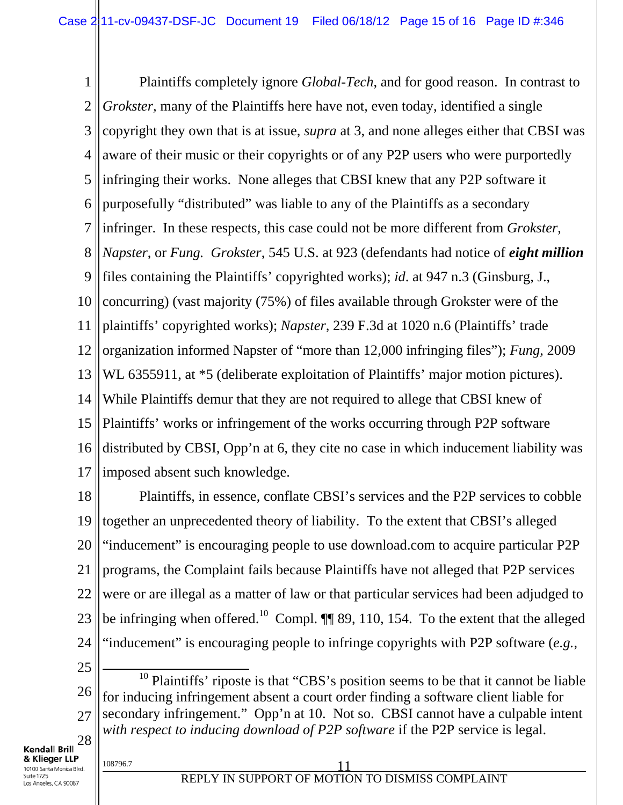1 2 3 4 5 6 7 8 9 10 11 12 13 14 15 16 17 Plaintiffs completely ignore *Global-Tech*, and for good reason. In contrast to *Grokster*, many of the Plaintiffs here have not, even today, identified a single copyright they own that is at issue, *supra* at 3, and none alleges either that CBSI was aware of their music or their copyrights or of any P2P users who were purportedly infringing their works. None alleges that CBSI knew that any P2P software it purposefully "distributed" was liable to any of the Plaintiffs as a secondary infringer. In these respects, this case could not be more different from *Grokster*, *Napster*, or *Fung. Grokster*, 545 U.S. at 923 (defendants had notice of *eight million* files containing the Plaintiffs' copyrighted works); *id*. at 947 n.3 (Ginsburg, J., concurring) (vast majority (75%) of files available through Grokster were of the plaintiffs' copyrighted works); *Napster,* 239 F.3d at 1020 n.6 (Plaintiffs' trade organization informed Napster of "more than 12,000 infringing files"); *Fung*, 2009 WL 6355911, at  $*5$  (deliberate exploitation of Plaintiffs' major motion pictures). While Plaintiffs demur that they are not required to allege that CBSI knew of Plaintiffs' works or infringement of the works occurring through P2P software distributed by CBSI, Opp'n at 6, they cite no case in which inducement liability was imposed absent such knowledge.

18 19 20 21 22 23 24 Plaintiffs, in essence, conflate CBSI's services and the P2P services to cobble together an unprecedented theory of liability. To the extent that CBSI's alleged "inducement" is encouraging people to use download.com to acquire particular P2P programs, the Complaint fails because Plaintiffs have not alleged that P2P services were or are illegal as a matter of law or that particular services had been adjudged to be infringing when offered.<sup>10</sup> Compl. **[1]** 89, 110, 154. To the extent that the alleged "inducement" is encouraging people to infringe copyrights with P2P software (*e.g.*,

25

26 27 28  $10$  Plaintiffs' riposte is that "CBS's position seems to be that it cannot be liable for inducing infringement absent a court order finding a software client liable for secondary infringement." Opp'n at 10. Not so. CBSI cannot have a culpable intent *with respect to inducing download of P2P software* if the P2P service is legal.

**Kendall Brill**